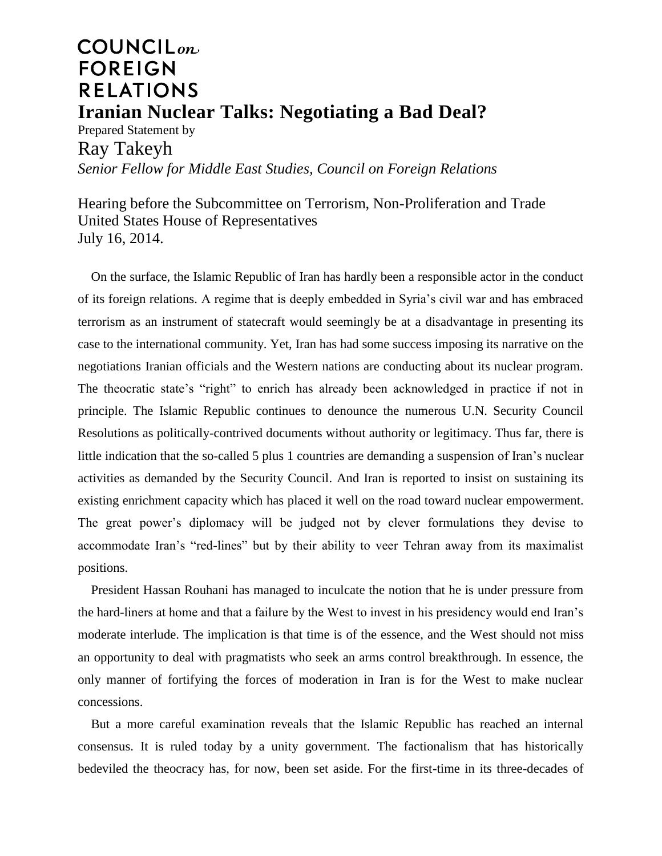## **COUNCIL**<sub>on</sub> **FOREIGN RELATIONS Iranian Nuclear Talks: Negotiating a Bad Deal?**

Prepared Statement by Ray Takeyh *Senior Fellow for Middle East Studies, Council on Foreign Relations*

Hearing before the Subcommittee on Terrorism, Non-Proliferation and Trade United States House of Representatives July 16, 2014.

On the surface, the Islamic Republic of Iran has hardly been a responsible actor in the conduct of its foreign relations. A regime that is deeply embedded in Syria's civil war and has embraced terrorism as an instrument of statecraft would seemingly be at a disadvantage in presenting its case to the international community. Yet, Iran has had some success imposing its narrative on the negotiations Iranian officials and the Western nations are conducting about its nuclear program. The theocratic state's "right" to enrich has already been acknowledged in practice if not in principle. The Islamic Republic continues to denounce the numerous U.N. Security Council Resolutions as politically-contrived documents without authority or legitimacy. Thus far, there is little indication that the so-called 5 plus 1 countries are demanding a suspension of Iran's nuclear activities as demanded by the Security Council. And Iran is reported to insist on sustaining its existing enrichment capacity which has placed it well on the road toward nuclear empowerment. The great power's diplomacy will be judged not by clever formulations they devise to accommodate Iran's "red-lines" but by their ability to veer Tehran away from its maximalist positions.

President Hassan Rouhani has managed to inculcate the notion that he is under pressure from the hard-liners at home and that a failure by the West to invest in his presidency would end Iran's moderate interlude. The implication is that time is of the essence, and the West should not miss an opportunity to deal with pragmatists who seek an arms control breakthrough. In essence, the only manner of fortifying the forces of moderation in Iran is for the West to make nuclear concessions.

But a more careful examination reveals that the Islamic Republic has reached an internal consensus. It is ruled today by a unity government. The factionalism that has historically bedeviled the theocracy has, for now, been set aside. For the first-time in its three-decades of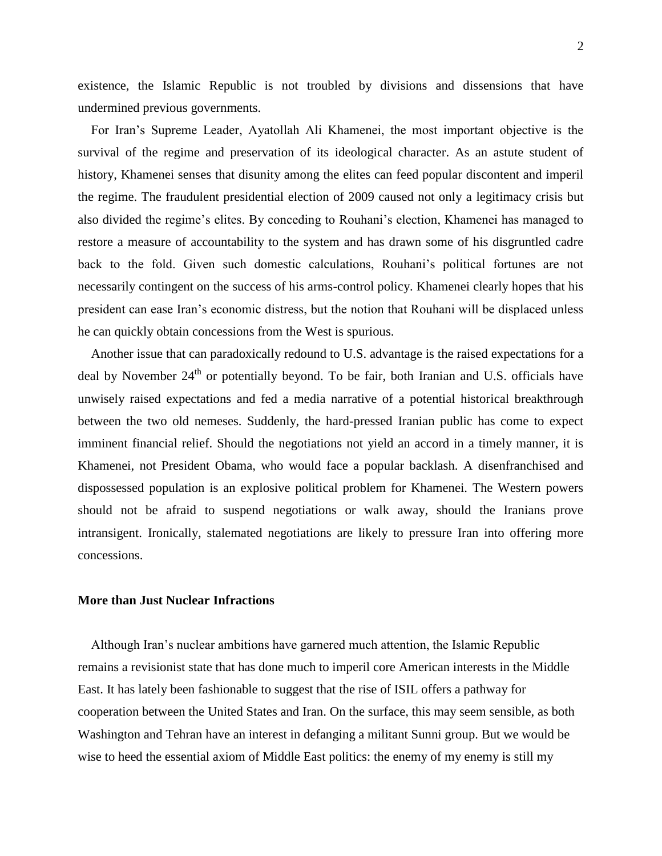existence, the Islamic Republic is not troubled by divisions and dissensions that have undermined previous governments.

For Iran's Supreme Leader, Ayatollah Ali Khamenei, the most important objective is the survival of the regime and preservation of its ideological character. As an astute student of history, Khamenei senses that disunity among the elites can feed popular discontent and imperil the regime. The fraudulent presidential election of 2009 caused not only a legitimacy crisis but also divided the regime's elites. By conceding to Rouhani's election, Khamenei has managed to restore a measure of accountability to the system and has drawn some of his disgruntled cadre back to the fold. Given such domestic calculations, Rouhani's political fortunes are not necessarily contingent on the success of his arms-control policy. Khamenei clearly hopes that his president can ease Iran's economic distress, but the notion that Rouhani will be displaced unless he can quickly obtain concessions from the West is spurious.

Another issue that can paradoxically redound to U.S. advantage is the raised expectations for a deal by November  $24<sup>th</sup>$  or potentially beyond. To be fair, both Iranian and U.S. officials have unwisely raised expectations and fed a media narrative of a potential historical breakthrough between the two old nemeses. Suddenly, the hard-pressed Iranian public has come to expect imminent financial relief. Should the negotiations not yield an accord in a timely manner, it is Khamenei, not President Obama, who would face a popular backlash. A disenfranchised and dispossessed population is an explosive political problem for Khamenei. The Western powers should not be afraid to suspend negotiations or walk away, should the Iranians prove intransigent. Ironically, stalemated negotiations are likely to pressure Iran into offering more concessions.

## **More than Just Nuclear Infractions**

Although Iran's nuclear ambitions have garnered much attention, the Islamic Republic remains a revisionist state that has done much to imperil core American interests in the Middle East. It has lately been fashionable to suggest that the rise of ISIL offers a pathway for cooperation between the United States and Iran. On the surface, this may seem sensible, as both Washington and Tehran have an interest in defanging a militant Sunni group. But we would be wise to heed the essential axiom of Middle East politics: the enemy of my enemy is still my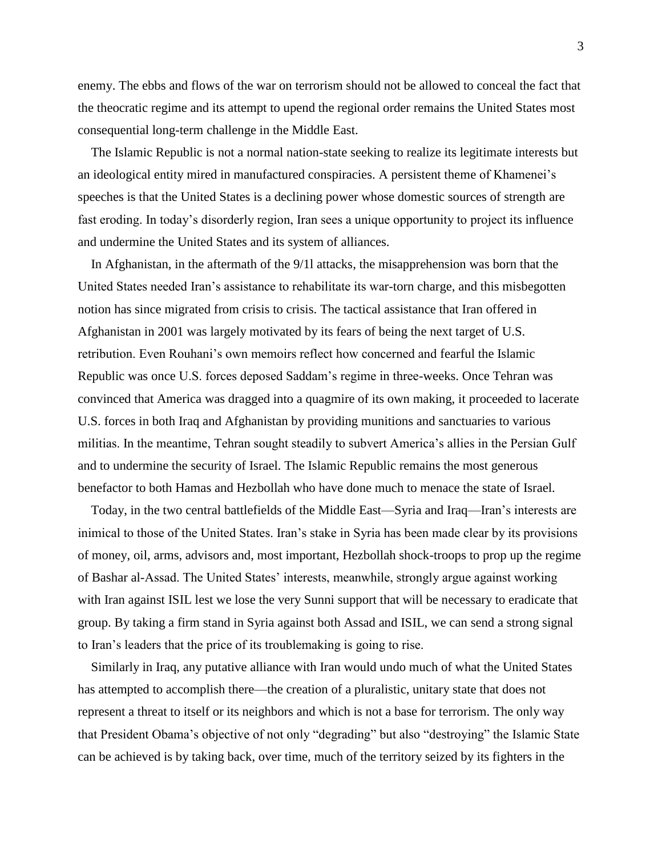enemy. The ebbs and flows of the war on terrorism should not be allowed to conceal the fact that the theocratic regime and its attempt to upend the regional order remains the United States most consequential long-term challenge in the Middle East.

The Islamic Republic is not a normal nation-state seeking to realize its legitimate interests but an ideological entity mired in manufactured conspiracies. A persistent theme of Khamenei's speeches is that the United States is a declining power whose domestic sources of strength are fast eroding. In today's disorderly region, Iran sees a unique opportunity to project its influence and undermine the United States and its system of alliances.

In Afghanistan, in the aftermath of the 9/1l attacks, the misapprehension was born that the United States needed Iran's assistance to rehabilitate its war-torn charge, and this misbegotten notion has since migrated from crisis to crisis. The tactical assistance that Iran offered in Afghanistan in 2001 was largely motivated by its fears of being the next target of U.S. retribution. Even Rouhani's own memoirs reflect how concerned and fearful the Islamic Republic was once U.S. forces deposed Saddam's regime in three-weeks. Once Tehran was convinced that America was dragged into a quagmire of its own making, it proceeded to lacerate U.S. forces in both Iraq and Afghanistan by providing munitions and sanctuaries to various militias. In the meantime, Tehran sought steadily to subvert America's allies in the Persian Gulf and to undermine the security of Israel. The Islamic Republic remains the most generous benefactor to both Hamas and Hezbollah who have done much to menace the state of Israel.

Today, in the two central battlefields of the Middle East—Syria and Iraq—Iran's interests are inimical to those of the United States. Iran's stake in Syria has been made clear by its provisions of money, oil, arms, advisors and, most important, Hezbollah shock-troops to prop up the regime of Bashar al-Assad. The United States' interests, meanwhile, strongly argue against working with Iran against ISIL lest we lose the very Sunni support that will be necessary to eradicate that group. By taking a firm stand in Syria against both Assad and ISIL, we can send a strong signal to Iran's leaders that the price of its troublemaking is going to rise.

Similarly in Iraq, any putative alliance with Iran would undo much of what the United States has attempted to accomplish there—the creation of a pluralistic, unitary state that does not represent a threat to itself or its neighbors and which is not a base for terrorism. The only way that President Obama's objective of not only "degrading" but also "destroying" the Islamic State can be achieved is by taking back, over time, much of the territory seized by its fighters in the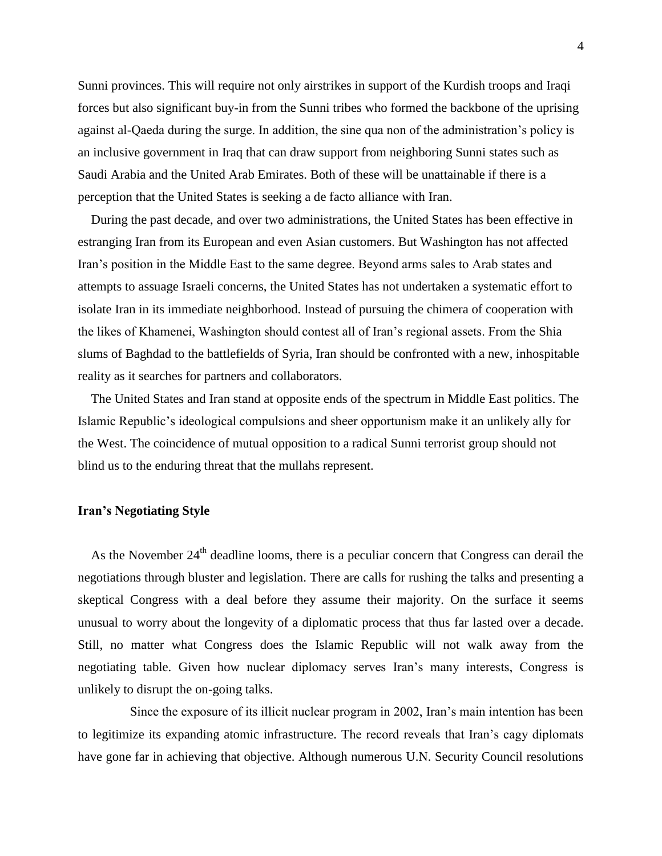Sunni provinces. This will require not only airstrikes in support of the Kurdish troops and Iraqi forces but also significant buy-in from the Sunni tribes who formed the backbone of the uprising against al-Qaeda during the surge. In addition, the sine qua non of the administration's policy is an inclusive government in Iraq that can draw support from neighboring Sunni states such as Saudi Arabia and the United Arab Emirates. Both of these will be unattainable if there is a perception that the United States is seeking a de facto alliance with Iran.

During the past decade, and over two administrations, the United States has been effective in estranging Iran from its European and even Asian customers. But Washington has not affected Iran's position in the Middle East to the same degree. Beyond arms sales to Arab states and attempts to assuage Israeli concerns, the United States has not undertaken a systematic effort to isolate Iran in its immediate neighborhood. Instead of pursuing the chimera of cooperation with the likes of Khamenei, Washington should contest all of Iran's regional assets. From the Shia slums of Baghdad to the battlefields of Syria, Iran should be confronted with a new, inhospitable reality as it searches for partners and collaborators.

The United States and Iran stand at opposite ends of the spectrum in Middle East politics. The Islamic Republic's ideological compulsions and sheer opportunism make it an unlikely ally for the West. The coincidence of mutual opposition to a radical Sunni terrorist group should not blind us to the enduring threat that the mullahs represent.

## **Iran's Negotiating Style**

As the November  $24<sup>th</sup>$  deadline looms, there is a peculiar concern that Congress can derail the negotiations through bluster and legislation. There are calls for rushing the talks and presenting a skeptical Congress with a deal before they assume their majority. On the surface it seems unusual to worry about the longevity of a diplomatic process that thus far lasted over a decade. Still, no matter what Congress does the Islamic Republic will not walk away from the negotiating table. Given how nuclear diplomacy serves Iran's many interests, Congress is unlikely to disrupt the on-going talks.

 Since the exposure of its illicit nuclear program in 2002, Iran's main intention has been to legitimize its expanding atomic infrastructure. The record reveals that Iran's cagy diplomats have gone far in achieving that objective. Although numerous U.N. Security Council resolutions